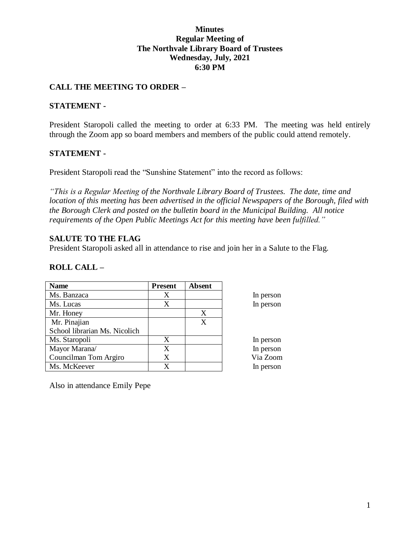## **Minutes Regular Meeting of The Northvale Library Board of Trustees Wednesday, July, 2021 6:30 PM**

## **CALL THE MEETING TO ORDER –**

### **STATEMENT -**

President Staropoli called the meeting to order at 6:33 PM. The meeting was held entirely through the Zoom app so board members and members of the public could attend remotely.

### **STATEMENT -**

President Staropoli read the "Sunshine Statement" into the record as follows:

*"This is a Regular Meeting of the Northvale Library Board of Trustees. The date, time and location of this meeting has been advertised in the official Newspapers of the Borough, filed with the Borough Clerk and posted on the bulletin board in the Municipal Building. All notice requirements of the Open Public Meetings Act for this meeting have been fulfilled."* 

### **SALUTE TO THE FLAG**

President Staropoli asked all in attendance to rise and join her in a Salute to the Flag.

## **ROLL CALL –**

| <b>Name</b>                   | <b>Present</b> | <b>Absent</b> |           |
|-------------------------------|----------------|---------------|-----------|
| Ms. Banzaca                   | X              |               | In person |
| Ms. Lucas                     | X              |               | In person |
| Mr. Honey                     |                | X             |           |
| Mr. Pinajian                  |                | X             |           |
| School librarian Ms. Nicolich |                |               |           |
| Ms. Staropoli                 | X              |               | In person |
| Mayor Marana/                 | X              |               | In person |
| Councilman Tom Argiro         | X              |               | Via Zoom  |
| Ms. McKeever                  | X              |               | In person |

Also in attendance Emily Pepe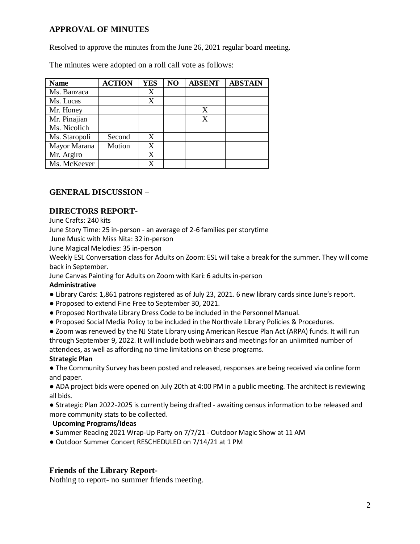# **APPROVAL OF MINUTES**

Resolved to approve the minutes from the June 26, 2021 regular board meeting.

The minutes were adopted on a roll call vote as follows:

| <b>Name</b>   | <b>ACTION</b> | <b>YES</b> | NO | <b>ABSENT</b> | <b>ABSTAIN</b> |
|---------------|---------------|------------|----|---------------|----------------|
| Ms. Banzaca   |               | X          |    |               |                |
| Ms. Lucas     |               | X          |    |               |                |
| Mr. Honey     |               |            |    | X             |                |
| Mr. Pinajian  |               |            |    | X             |                |
| Ms. Nicolich  |               |            |    |               |                |
| Ms. Staropoli | Second        | X          |    |               |                |
| Mayor Marana  | Motion        | X          |    |               |                |
| Mr. Argiro    |               | X          |    |               |                |
| Ms. McKeever  |               |            |    |               |                |

## **GENERAL DISCUSSION –**

### **DIRECTORS REPORT-**

June Crafts: 240 kits

June Story Time: 25 in-person - an average of 2-6 families per storytime

June Music with Miss Nita: 32 in-person

June Magical Melodies: 35 in-person

Weekly ESL Conversation class for Adults on Zoom: ESL will take a break for the summer. They will come back in September.

June Canvas Painting for Adults on Zoom with Kari: 6 adults in-person

#### **Administrative**

- Library Cards: 1,861 patrons registered as of July 23, 2021. 6 new library cards since June's report.
- Proposed to extend Fine Free to September 30, 2021.
- Proposed Northvale Library Dress Code to be included in the Personnel Manual.
- Proposed Social Media Policy to be included in the Northvale Library Policies & Procedures.

● Zoom was renewed by the NJ State Library using American Rescue Plan Act (ARPA) funds. It will run through September 9, 2022. It will include both webinars and meetings for an unlimited number of attendees, as well as affording no time limitations on these programs.

### **Strategic Plan**

● The Community Survey has been posted and released, responses are being received via online form and paper.

● ADA project bids were opened on July 20th at 4:00 PM in a public meeting. The architect is reviewing all bids.

● Strategic Plan 2022-2025 is currently being drafted - awaiting census information to be released and more community stats to be collected.

### **Upcoming Programs/Ideas**

- Summer Reading 2021 Wrap-Up Party on 7/7/21 Outdoor Magic Show at 11 AM
- Outdoor Summer Concert RESCHEDULED on 7/14/21 at 1 PM

### **Friends of the Library Report-**

Nothing to report- no summer friends meeting.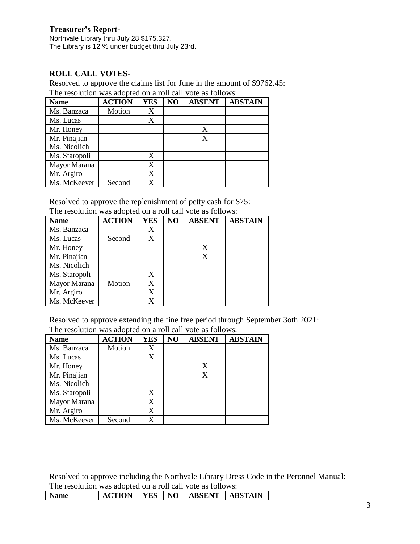### **Treasurer's Report-**

Northvale Library thru July 28 \$175,327. The Library is 12 % under budget thru July 23rd.

# **ROLL CALL VOTES-**

Resolved to approve the claims list for June in the amount of \$9762.45: The resolution was adopted on a roll call vote as follows:

| <b>Name</b>   | <b>ACTION</b> | <b>YES</b> | N <sub>O</sub> | <b>ABSENT</b> | <b>ABSTAIN</b> |
|---------------|---------------|------------|----------------|---------------|----------------|
| Ms. Banzaca   | Motion        | X          |                |               |                |
| Ms. Lucas     |               | X          |                |               |                |
| Mr. Honey     |               |            |                | X             |                |
| Mr. Pinajian  |               |            |                | X             |                |
| Ms. Nicolich  |               |            |                |               |                |
| Ms. Staropoli |               | X          |                |               |                |
| Mayor Marana  |               | X          |                |               |                |
| Mr. Argiro    |               | X          |                |               |                |
| Ms. McKeever  | Second        | x          |                |               |                |

Resolved to approve the replenishment of petty cash for \$75: The resolution was adopted on a roll call vote as follows:

|               | The resolution was adopted on a foll early you as follows. |            |    |               |                |  |
|---------------|------------------------------------------------------------|------------|----|---------------|----------------|--|
| <b>Name</b>   | <b>ACTION</b>                                              | <b>YES</b> | NO | <b>ABSENT</b> | <b>ABSTAIN</b> |  |
| Ms. Banzaca   |                                                            | X          |    |               |                |  |
| Ms. Lucas     | Second                                                     | X          |    |               |                |  |
| Mr. Honey     |                                                            |            |    | X             |                |  |
| Mr. Pinajian  |                                                            |            |    | X             |                |  |
| Ms. Nicolich  |                                                            |            |    |               |                |  |
| Ms. Staropoli |                                                            | X          |    |               |                |  |
| Mayor Marana  | Motion                                                     | X          |    |               |                |  |
| Mr. Argiro    |                                                            | X          |    |               |                |  |
| Ms. McKeever  |                                                            | X          |    |               |                |  |

Resolved to approve extending the fine free period through September 3oth 2021: The resolution was adopted on a roll call vote as follows:

| <b>Name</b>   | <b>ACTION</b> | <b>YES</b> | NO | <b>ABSENT</b> | <b>ABSTAIN</b> |
|---------------|---------------|------------|----|---------------|----------------|
| Ms. Banzaca   | Motion        | X          |    |               |                |
| Ms. Lucas     |               | X          |    |               |                |
| Mr. Honey     |               |            |    | X             |                |
| Mr. Pinajian  |               |            |    | X             |                |
| Ms. Nicolich  |               |            |    |               |                |
| Ms. Staropoli |               | X          |    |               |                |
| Mayor Marana  |               | X          |    |               |                |
| Mr. Argiro    |               | X          |    |               |                |
| Ms. McKeever  | Second        | X          |    |               |                |

Resolved to approve including the Northvale Library Dress Code in the Peronnel Manual: The resolution was adopted on a roll call vote as follows:

| <b>Name</b> | <b>ACTION</b> |  |  |  | <b>TES   NO   ABSENT   ABSTAIN</b> |  |
|-------------|---------------|--|--|--|------------------------------------|--|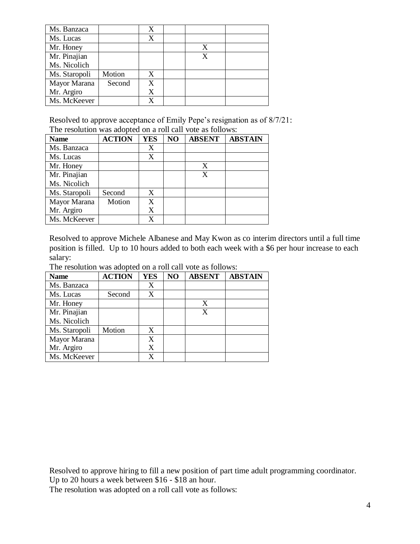| Ms. Banzaca   |        | X |   |  |
|---------------|--------|---|---|--|
| Ms. Lucas     |        | X |   |  |
| Mr. Honey     |        |   | X |  |
| Mr. Pinajian  |        |   | X |  |
| Ms. Nicolich  |        |   |   |  |
| Ms. Staropoli | Motion | X |   |  |
| Mayor Marana  | Second | X |   |  |
| Mr. Argiro    |        | X |   |  |
| Ms. McKeever  |        |   |   |  |

Resolved to approve acceptance of Emily Pepe's resignation as of 8/7/21: The resolution was adopted on a roll call vote as follows:

| <b>Name</b>   | <b>ACTION</b> | <b>YES</b> | NO | <b>ABSENT</b> | <b>ABSTAIN</b> |
|---------------|---------------|------------|----|---------------|----------------|
| Ms. Banzaca   |               | X          |    |               |                |
| Ms. Lucas     |               | X          |    |               |                |
| Mr. Honey     |               |            |    | X             |                |
| Mr. Pinajian  |               |            |    | X             |                |
| Ms. Nicolich  |               |            |    |               |                |
| Ms. Staropoli | Second        | X          |    |               |                |
| Mayor Marana  | Motion        | X          |    |               |                |
| Mr. Argiro    |               | X          |    |               |                |
| Ms. McKeever  |               | X          |    |               |                |

Resolved to approve Michele Albanese and May Kwon as co interim directors until a full time position is filled. Up to 10 hours added to both each week with a \$6 per hour increase to each salary:

| <b>Name</b>   | <b>ACTION</b> | <b>YES</b> | NO | <b>ABSENT</b> | <b>ABSTAIN</b> |
|---------------|---------------|------------|----|---------------|----------------|
| Ms. Banzaca   |               | X          |    |               |                |
| Ms. Lucas     | Second        | X          |    |               |                |
| Mr. Honey     |               |            |    | X             |                |
| Mr. Pinajian  |               |            |    | X             |                |
| Ms. Nicolich  |               |            |    |               |                |
| Ms. Staropoli | Motion        | X          |    |               |                |
| Mayor Marana  |               | X          |    |               |                |
| Mr. Argiro    |               | X          |    |               |                |
| Ms. McKeever  |               | X          |    |               |                |

The resolution was adopted on a roll call vote as follows:

Resolved to approve hiring to fill a new position of part time adult programming coordinator.

Up to 20 hours a week between \$16 - \$18 an hour.

The resolution was adopted on a roll call vote as follows: